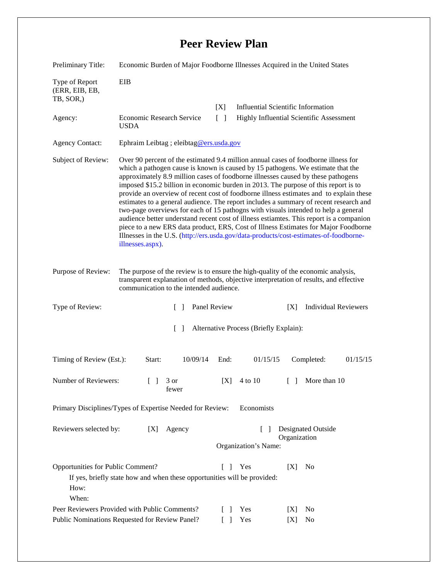## **Peer Review Plan**

| Preliminary Title:                                                                                                                                                                 | Economic Burden of Major Foodborne Illnesses Acquired in the United States                                                                                                                                                                                                                                                                                                                                                                                                                                                                                                                                                                                                                                                                                                                                                                                                                                               |                 |                                          |                                           |  |
|------------------------------------------------------------------------------------------------------------------------------------------------------------------------------------|--------------------------------------------------------------------------------------------------------------------------------------------------------------------------------------------------------------------------------------------------------------------------------------------------------------------------------------------------------------------------------------------------------------------------------------------------------------------------------------------------------------------------------------------------------------------------------------------------------------------------------------------------------------------------------------------------------------------------------------------------------------------------------------------------------------------------------------------------------------------------------------------------------------------------|-----------------|------------------------------------------|-------------------------------------------|--|
| Type of Report<br>(ERR, EIB, EB,<br>TB, SOR,)                                                                                                                                      | <b>EIB</b>                                                                                                                                                                                                                                                                                                                                                                                                                                                                                                                                                                                                                                                                                                                                                                                                                                                                                                               |                 |                                          |                                           |  |
|                                                                                                                                                                                    |                                                                                                                                                                                                                                                                                                                                                                                                                                                                                                                                                                                                                                                                                                                                                                                                                                                                                                                          | [X]             |                                          | <b>Influential Scientific Information</b> |  |
| Agency:                                                                                                                                                                            | Economic Research Service<br><b>USDA</b>                                                                                                                                                                                                                                                                                                                                                                                                                                                                                                                                                                                                                                                                                                                                                                                                                                                                                 | $\lceil \rceil$ | Highly Influential Scientific Assessment |                                           |  |
| <b>Agency Contact:</b>                                                                                                                                                             | Ephraim Leibtag ; eleibtag@ers.usda.gov                                                                                                                                                                                                                                                                                                                                                                                                                                                                                                                                                                                                                                                                                                                                                                                                                                                                                  |                 |                                          |                                           |  |
| Subject of Review:                                                                                                                                                                 | Over 90 percent of the estimated 9.4 million annual cases of foodborne illness for<br>which a pathogen cause is known is caused by 15 pathogens. We estimate that the<br>approximately 8.9 million cases of foodborne illnesses caused by these pathogens<br>imposed \$15.2 billion in economic burden in 2013. The purpose of this report is to<br>provide an overview of recent cost of foodborne illness estimates and to explain these<br>estimates to a general audience. The report includes a summary of recent research and<br>two-page overviews for each of 15 pathogns with visuals intended to help a general<br>audience better understand recent cost of illness estiamtes. This report is a companion<br>piece to a new ERS data product, ERS, Cost of Illness Estimates for Major Foodborne<br>Illnesses in the U.S. (http://ers.usda.gov/data-products/cost-estimates-of-foodborne-<br>illnesses.aspx). |                 |                                          |                                           |  |
| Purpose of Review:                                                                                                                                                                 | The purpose of the review is to ensure the high-quality of the economic analysis,<br>transparent explanation of methods, objective interpretation of results, and effective<br>communication to the intended audience.                                                                                                                                                                                                                                                                                                                                                                                                                                                                                                                                                                                                                                                                                                   |                 |                                          |                                           |  |
| Type of Review:                                                                                                                                                                    | $\Box$                                                                                                                                                                                                                                                                                                                                                                                                                                                                                                                                                                                                                                                                                                                                                                                                                                                                                                                   | Panel Review    |                                          | <b>Individual Reviewers</b><br>[X]        |  |
| $\lceil \rceil$<br>Alternative Process (Briefly Explain):                                                                                                                          |                                                                                                                                                                                                                                                                                                                                                                                                                                                                                                                                                                                                                                                                                                                                                                                                                                                                                                                          |                 |                                          |                                           |  |
| Timing of Review (Est.):                                                                                                                                                           | 10/09/14<br>Start:                                                                                                                                                                                                                                                                                                                                                                                                                                                                                                                                                                                                                                                                                                                                                                                                                                                                                                       | End:            | 01/15/15                                 | Completed:<br>01/15/15                    |  |
| Number of Reviewers:                                                                                                                                                               | 3 or<br>$\Box$<br>fewer                                                                                                                                                                                                                                                                                                                                                                                                                                                                                                                                                                                                                                                                                                                                                                                                                                                                                                  | [X]             | 4 to 10                                  | More than 10<br>$\Box$                    |  |
| Primary Disciplines/Types of Expertise Needed for Review:<br>Economists                                                                                                            |                                                                                                                                                                                                                                                                                                                                                                                                                                                                                                                                                                                                                                                                                                                                                                                                                                                                                                                          |                 |                                          |                                           |  |
| Reviewers selected by:                                                                                                                                                             | [X]<br>Agency                                                                                                                                                                                                                                                                                                                                                                                                                                                                                                                                                                                                                                                                                                                                                                                                                                                                                                            |                 | $\mathbf{I}$<br>Organization's Name:     | Designated Outside<br>Organization        |  |
| Opportunities for Public Comment?<br>Yes<br>[X]<br>No<br>$\mathbf{L}$<br>$\mathbf{I}$<br>If yes, briefly state how and when these opportunities will be provided:<br>How:<br>When: |                                                                                                                                                                                                                                                                                                                                                                                                                                                                                                                                                                                                                                                                                                                                                                                                                                                                                                                          |                 |                                          |                                           |  |
| Peer Reviewers Provided with Public Comments?                                                                                                                                      |                                                                                                                                                                                                                                                                                                                                                                                                                                                                                                                                                                                                                                                                                                                                                                                                                                                                                                                          |                 | Yes                                      | N <sub>0</sub><br>[X]                     |  |
| Public Nominations Requested for Review Panel?                                                                                                                                     |                                                                                                                                                                                                                                                                                                                                                                                                                                                                                                                                                                                                                                                                                                                                                                                                                                                                                                                          |                 | Yes                                      | No<br>[X]                                 |  |